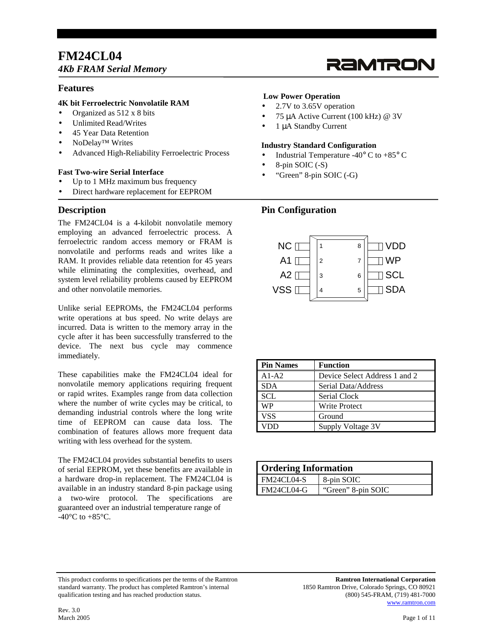## **FM24CL04**  *4Kb FRAM Serial Memory*

# RAMTRON

## **Features**

## **4K bit Ferroelectric Nonvolatile RAM**

- Organized as 512 x 8 bits
- Unlimited Read/Writes
- 45 Year Data Retention
- NoDelay™ Writes
- Advanced High-Reliability Ferroelectric Process

## **Fast Two-wire Serial Interface**

- Up to 1 MHz maximum bus frequency
- Direct hardware replacement for EEPROM

## **Description**

The FM24CL04 is a 4-kilobit nonvolatile memory employing an advanced ferroelectric process. A ferroelectric random access memory or FRAM is nonvolatile and performs reads and writes like a RAM. It provides reliable data retention for 45 years while eliminating the complexities, overhead, and system level reliability problems caused by EEPROM and other nonvolatile memories.

Unlike serial EEPROMs, the FM24CL04 performs write operations at bus speed. No write delays are incurred. Data is written to the memory array in the cycle after it has been successfully transferred to the device. The next bus cycle may commence immediately.

These capabilities make the FM24CL04 ideal for nonvolatile memory applications requiring frequent or rapid writes. Examples range from data collection where the number of write cycles may be critical, to demanding industrial controls where the long write time of EEPROM can cause data loss. The combination of features allows more frequent data writing with less overhead for the system.

The FM24CL04 provides substantial benefits to users of serial EEPROM, yet these benefits are available in a hardware drop-in replacement. The FM24CL04 is available in an industry standard 8-pin package using a two-wire protocol. The specifications are guaranteed over an industrial temperature range of -40 $^{\circ}$ C to +85 $^{\circ}$ C.

## **Low Power Operation**

- 2.7V to 3.65V operation
- 75 µA Active Current (100 kHz) @ 3V
- 1 µA Standby Current

## **Industry Standard Configuration**

- Industrial Temperature -40 $\degree$  C to +85 $\degree$  C
- 8-pin SOIC (-S)
- "Green" 8-pin SOIC (-G)

## **Pin Configuration**



| <b>Pin Names</b> | <b>Function</b>               |
|------------------|-------------------------------|
| $A1-A2$          | Device Select Address 1 and 2 |
| <b>SDA</b>       | Serial Data/Address           |
| <b>SCL</b>       | Serial Clock                  |
| <b>WP</b>        | <b>Write Protect</b>          |
| <b>VSS</b>       | Ground                        |
|                  | Supply Voltage 3V             |

| <b>Ordering Information</b> |                    |  |  |  |  |
|-----------------------------|--------------------|--|--|--|--|
| FM24CL04-S                  | 8-pin SOIC         |  |  |  |  |
| FM24CL04-G                  | "Green" 8-pin SOIC |  |  |  |  |

This product conforms to specifications per the terms of the Ramtron **Ramtron International Corporation** standard warranty. The product has completed Ramtron's internal 1850 Ramtron Drive, Colorado Springs, CO 80921<br>qualification testing and has reached production status. (800) 545-FRAM, (719) 481-7000 qualification testing and has reached production status.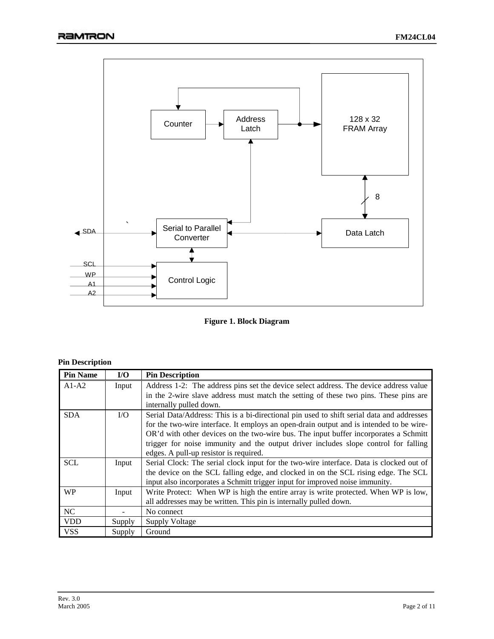

**Figure 1. Block Diagram** 

| <b>Pin Description</b> |  |
|------------------------|--|
|------------------------|--|

| <b>Pin Name</b> | $U$             | <b>Pin Description</b>                                                                    |
|-----------------|-----------------|-------------------------------------------------------------------------------------------|
| $A1-A2$         | Input           | Address 1-2: The address pins set the device select address. The device address value     |
|                 |                 | in the 2-wire slave address must match the setting of these two pins. These pins are      |
|                 |                 | internally pulled down.                                                                   |
| <b>SDA</b>      | $\overline{LO}$ | Serial Data/Address: This is a bi-directional pin used to shift serial data and addresses |
|                 |                 | for the two-wire interface. It employs an open-drain output and is intended to be wire-   |
|                 |                 | OR'd with other devices on the two-wire bus. The input buffer incorporates a Schmitt      |
|                 |                 | trigger for noise immunity and the output driver includes slope control for falling       |
|                 |                 | edges. A pull-up resistor is required.                                                    |
| <b>SCL</b>      | Input           | Serial Clock: The serial clock input for the two-wire interface. Data is clocked out of   |
|                 |                 | the device on the SCL falling edge, and clocked in on the SCL rising edge. The SCL        |
|                 |                 | input also incorporates a Schmitt trigger input for improved noise immunity.              |
| <b>WP</b>       | Input           | Write Protect: When WP is high the entire array is write protected. When WP is low,       |
|                 |                 | all addresses may be written. This pin is internally pulled down.                         |
| NC              |                 | No connect                                                                                |
| <b>VDD</b>      | Supply          | <b>Supply Voltage</b>                                                                     |
| <b>VSS</b>      | Supply          | Ground                                                                                    |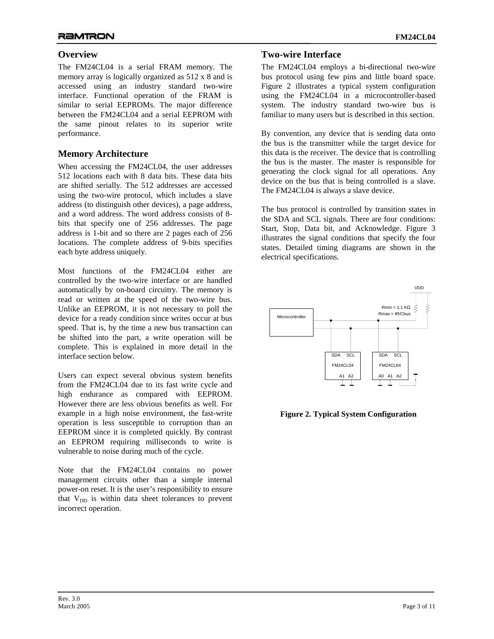## **Overview**

The FM24CL04 is a serial FRAM memory. The memory array is logically organized as 512 x 8 and is accessed using an industry standard two-wire interface. Functional operation of the FRAM is similar to serial EEPROMs. The major difference between the FM24CL04 and a serial EEPROM with the same pinout relates to its superior write performance.

## **Memory Architecture**

When accessing the FM24CL04, the user addresses 512 locations each with 8 data bits. These data bits are shifted serially. The 512 addresses are accessed using the two-wire protocol, which includes a slave address (to distinguish other devices), a page address, and a word address. The word address consists of 8 bits that specify one of 256 addresses. The page address is 1-bit and so there are 2 pages each of 256 locations. The complete address of 9-bits specifies each byte address uniquely.

Most functions of the FM24CL04 either are controlled by the two-wire interface or are handled automatically by on-board circuitry. The memory is read or written at the speed of the two-wire bus. Unlike an EEPROM, it is not necessary to poll the device for a ready condition since writes occur at bus speed. That is, by the time a new bus transaction can be shifted into the part, a write operation will be complete. This is explained in more detail in the interface section below.

Users can expect several obvious system benefits from the FM24CL04 due to its fast write cycle and high endurance as compared with EEPROM. However there are less obvious benefits as well. For example in a high noise environment, the fast-write operation is less susceptible to corruption than an EEPROM since it is completed quickly. By contrast an EEPROM requiring milliseconds to write is vulnerable to noise during much of the cycle.

Note that the FM24CL04 contains no power management circuits other than a simple internal power-on reset. It is the user's responsibility to ensure that  $V_{DD}$  is within data sheet tolerances to prevent incorrect operation.

## **Two-wire Interface**

The FM24CL04 employs a bi-directional two-wire bus protocol using few pins and little board space. Figure 2 illustrates a typical system configuration using the FM24CL04 in a microcontroller-based system. The industry standard two-wire bus is familiar to many users but is described in this section.

By convention, any device that is sending data onto the bus is the transmitter while the target device for this data is the receiver. The device that is controlling the bus is the master. The master is responsible for generating the clock signal for all operations. Any device on the bus that is being controlled is a slave. The FM24CL04 is always a slave device.

The bus protocol is controlled by transition states in the SDA and SCL signals. There are four conditions: Start, Stop, Data bit, and Acknowledge. Figure 3 illustrates the signal conditions that specify the four states. Detailed timing diagrams are shown in the electrical specifications.



**Figure 2. Typical System Configuration**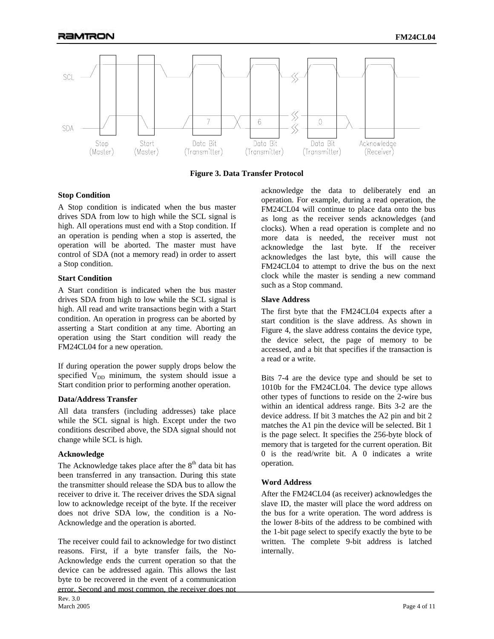

**Figure 3. Data Transfer Protocol**

#### **Stop Condition**

A Stop condition is indicated when the bus master drives SDA from low to high while the SCL signal is high. All operations must end with a Stop condition. If an operation is pending when a stop is asserted, the operation will be aborted. The master must have control of SDA (not a memory read) in order to assert a Stop condition.

#### **Start Condition**

A Start condition is indicated when the bus master drives SDA from high to low while the SCL signal is high. All read and write transactions begin with a Start condition. An operation in progress can be aborted by asserting a Start condition at any time. Aborting an operation using the Start condition will ready the FM24CL04 for a new operation.

If during operation the power supply drops below the specified  $V_{DD}$  minimum, the system should issue a Start condition prior to performing another operation.

## **Data/Address Transfer**

All data transfers (including addresses) take place while the SCL signal is high. Except under the two conditions described above, the SDA signal should not change while SCL is high.

#### **Acknowledge**

The Acknowledge takes place after the  $8<sup>th</sup>$  data bit has been transferred in any transaction. During this state the transmitter should release the SDA bus to allow the receiver to drive it. The receiver drives the SDA signal low to acknowledge receipt of the byte. If the receiver does not drive SDA low, the condition is a No-Acknowledge and the operation is aborted.

Rev. 3.0 March 2005 Page 4 of 11 The receiver could fail to acknowledge for two distinct reasons. First, if a byte transfer fails, the No-Acknowledge ends the current operation so that the device can be addressed again. This allows the last byte to be recovered in the event of a communication error. Second and most common, the receiver does not

acknowledge the data to deliberately end an operation. For example, during a read operation, the FM24CL04 will continue to place data onto the bus as long as the receiver sends acknowledges (and clocks). When a read operation is complete and no more data is needed, the receiver must not acknowledge the last byte. If the receiver acknowledges the last byte, this will cause the FM24CL04 to attempt to drive the bus on the next clock while the master is sending a new command such as a Stop command.

## **Slave Address**

The first byte that the FM24CL04 expects after a start condition is the slave address. As shown in Figure 4, the slave address contains the device type, the device select, the page of memory to be accessed, and a bit that specifies if the transaction is a read or a write.

Bits 7-4 are the device type and should be set to 1010b for the FM24CL04. The device type allows other types of functions to reside on the 2-wire bus within an identical address range. Bits 3-2 are the device address. If bit 3 matches the A2 pin and bit 2 matches the A1 pin the device will be selected. Bit 1 is the page select. It specifies the 256-byte block of memory that is targeted for the current operation. Bit 0 is the read/write bit. A 0 indicates a write operation.

## **Word Address**

After the FM24CL04 (as receiver) acknowledges the slave ID, the master will place the word address on the bus for a write operation. The word address is the lower 8-bits of the address to be combined with the 1-bit page select to specify exactly the byte to be written. The complete 9-bit address is latched internally.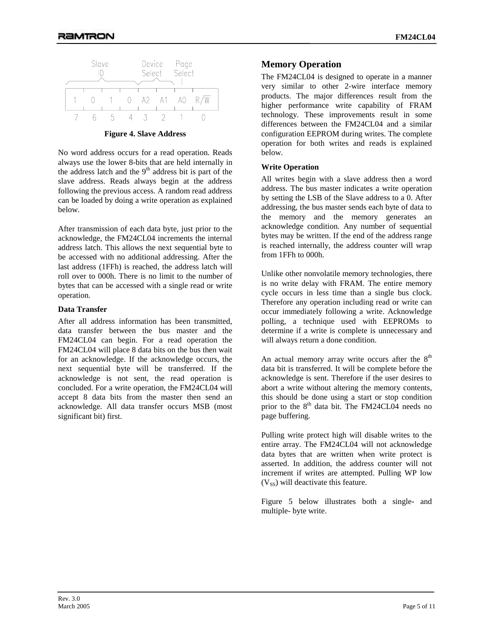

**Figure 4. Slave Address** 

No word address occurs for a read operation. Reads always use the lower 8-bits that are held internally in the address latch and the  $9<sup>th</sup>$  address bit is part of the slave address. Reads always begin at the address following the previous access. A random read address can be loaded by doing a write operation as explained below.

After transmission of each data byte, just prior to the acknowledge, the FM24CL04 increments the internal address latch. This allows the next sequential byte to be accessed with no additional addressing. After the last address (1FFh) is reached, the address latch will roll over to 000h. There is no limit to the number of bytes that can be accessed with a single read or write operation.

#### **Data Transfer**

After all address information has been transmitted, data transfer between the bus master and the FM24CL04 can begin. For a read operation the FM24CL04 will place 8 data bits on the bus then wait for an acknowledge. If the acknowledge occurs, the next sequential byte will be transferred. If the acknowledge is not sent, the read operation is concluded. For a write operation, the FM24CL04 will accept 8 data bits from the master then send an acknowledge. All data transfer occurs MSB (most significant bit) first.

## **Memory Operation**

The FM24CL04 is designed to operate in a manner very similar to other 2-wire interface memory products. The major differences result from the higher performance write capability of FRAM technology. These improvements result in some differences between the FM24CL04 and a similar configuration EEPROM during writes. The complete operation for both writes and reads is explained below.

## **Write Operation**

All writes begin with a slave address then a word address. The bus master indicates a write operation by setting the LSB of the Slave address to a 0. After addressing, the bus master sends each byte of data to the memory and the memory generates an acknowledge condition. Any number of sequential bytes may be written. If the end of the address range is reached internally, the address counter will wrap from 1FFh to 000h.

Unlike other nonvolatile memory technologies, there is no write delay with FRAM. The entire memory cycle occurs in less time than a single bus clock. Therefore any operation including read or write can occur immediately following a write. Acknowledge polling, a technique used with EEPROMs to determine if a write is complete is unnecessary and will always return a done condition.

An actual memory array write occurs after the  $8<sup>th</sup>$ data bit is transferred. It will be complete before the acknowledge is sent. Therefore if the user desires to abort a write without altering the memory contents, this should be done using a start or stop condition prior to the  $8<sup>th</sup>$  data bit. The FM24CL04 needs no page buffering.

Pulling write protect high will disable writes to the entire array. The FM24CL04 will not acknowledge data bytes that are written when write protect is asserted. In addition, the address counter will not increment if writes are attempted. Pulling WP low  $(V_{SS})$  will deactivate this feature.

Figure 5 below illustrates both a single- and multiple- byte write.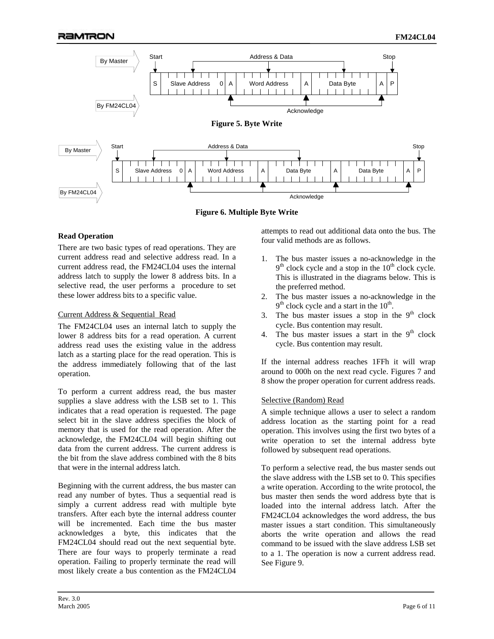

**Figure 6. Multiple Byte Write** 

## **Read Operation**

There are two basic types of read operations. They are current address read and selective address read. In a current address read, the FM24CL04 uses the internal address latch to supply the lower 8 address bits. In a selective read, the user performs a procedure to set these lower address bits to a specific value.

## Current Address & Sequential Read

The FM24CL04 uses an internal latch to supply the lower 8 address bits for a read operation. A current address read uses the existing value in the address latch as a starting place for the read operation. This is the address immediately following that of the last operation.

To perform a current address read, the bus master supplies a slave address with the LSB set to 1. This indicates that a read operation is requested. The page select bit in the slave address specifies the block of memory that is used for the read operation. After the acknowledge, the FM24CL04 will begin shifting out data from the current address. The current address is the bit from the slave address combined with the 8 bits that were in the internal address latch.

Beginning with the current address, the bus master can read any number of bytes. Thus a sequential read is simply a current address read with multiple byte transfers. After each byte the internal address counter will be incremented. Each time the bus master acknowledges a byte, this indicates that the FM24CL04 should read out the next sequential byte. There are four ways to properly terminate a read operation. Failing to properly terminate the read will most likely create a bus contention as the FM24CL04 attempts to read out additional data onto the bus. The four valid methods are as follows.

- 1. The bus master issues a no-acknowledge in the  $9<sup>th</sup>$  clock cycle and a stop in the  $10<sup>th</sup>$  clock cycle. This is illustrated in the diagrams below. This is the preferred method.
- 2. The bus master issues a no-acknowledge in the  $9<sup>th</sup>$  clock cycle and a start in the  $10<sup>th</sup>$ .
- 3. The bus master issues a stop in the  $9<sup>th</sup>$  clock cycle. Bus contention may result.
- 4. The bus master issues a start in the  $9<sup>th</sup>$  clock cycle. Bus contention may result.

If the internal address reaches 1FFh it will wrap around to 000h on the next read cycle. Figures 7 and 8 show the proper operation for current address reads.

## Selective (Random) Read

A simple technique allows a user to select a random address location as the starting point for a read operation. This involves using the first two bytes of a write operation to set the internal address byte followed by subsequent read operations.

To perform a selective read, the bus master sends out the slave address with the LSB set to 0. This specifies a write operation. According to the write protocol, the bus master then sends the word address byte that is loaded into the internal address latch. After the FM24CL04 acknowledges the word address, the bus master issues a start condition. This simultaneously aborts the write operation and allows the read command to be issued with the slave address LSB set to a 1. The operation is now a current address read. See Figure 9.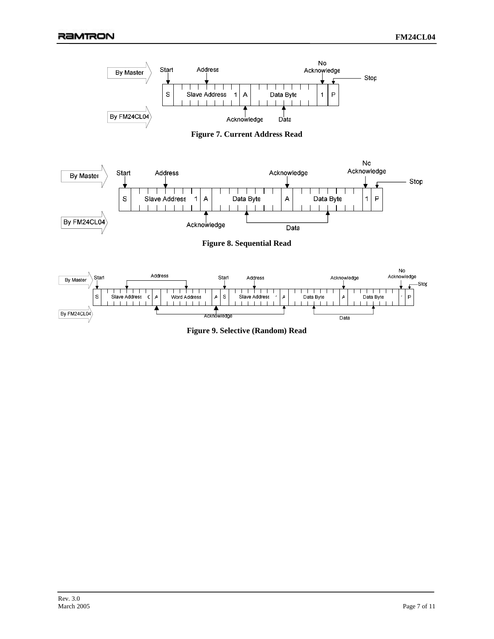

**Figure 7. Current Address Read** 



**Figure 8. Sequential Read** 



**Figure 9. Selective (Random) Read**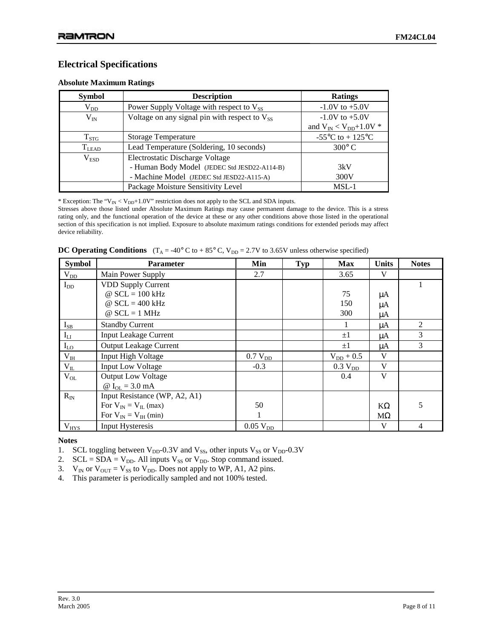## **Electrical Specifications**

#### **Absolute Maximum Ratings**

| <b>Symbol</b>    | <b>Description</b>                                   | <b>Ratings</b>                                         |
|------------------|------------------------------------------------------|--------------------------------------------------------|
| $\rm V_{DD}$     | Power Supply Voltage with respect to V <sub>SS</sub> | $-1.0V$ to $+5.0V$                                     |
| $V_{IN}$         | Voltage on any signal pin with respect to $V_{SS}$   | $-1.0V$ to $+5.0V$                                     |
|                  |                                                      | and $V_{IN} < V_{DD} + 1.0V$ *                         |
| $T_{STG}$        | <b>Storage Temperature</b>                           | -55 $\mathrm{^{\circ}C}$ to + 125 $\mathrm{^{\circ}C}$ |
| $T_{LEAD}$       | Lead Temperature (Soldering, 10 seconds)             | $300^{\circ}$ C                                        |
| V <sub>ESD</sub> | <b>Electrostatic Discharge Voltage</b>               |                                                        |
|                  | - Human Body Model (JEDEC Std JESD22-A114-B)         | 3kV                                                    |
|                  | - Machine Model (JEDEC Std JESD22-A115-A)            | 300V                                                   |
|                  | Package Moisture Sensitivity Level                   | $MSL-1$                                                |

\* Exception: The " $V_{IN}$  <  $V_{DD}$ +1.0V" restriction does not apply to the SCL and SDA inputs.

Stresses above those listed under Absolute Maximum Ratings may cause permanent damage to the device. This is a stress rating only, and the functional operation of the device at these or any other conditions above those listed in the operational section of this specification is not implied. Exposure to absolute maximum ratings conditions for extended periods may affect device reliability.

|  |  | <b>DC Operating Conditions</b> $(T_A = -40^\circ \text{ C to } +85^\circ \text{ C}, V_{DD} = 2.7 \text{ V to } 3.65 \text{ V unless otherwise specified})$ |  |
|--|--|------------------------------------------------------------------------------------------------------------------------------------------------------------|--|
|--|--|------------------------------------------------------------------------------------------------------------------------------------------------------------|--|

| <b>Symbol</b>    | <b>Parameter</b>              | Min                    | <b>Typ</b> | <b>Max</b>          | <b>Units</b> | <b>Notes</b>   |
|------------------|-------------------------------|------------------------|------------|---------------------|--------------|----------------|
| $V_{DD}$         | Main Power Supply             | 2.7                    |            | 3.65                | V            |                |
| $I_{DD}$         | <b>VDD Supply Current</b>     |                        |            |                     |              |                |
|                  | $\omega$ SCL = 100 kHz        |                        |            | 75                  | μA           |                |
|                  | @ $SCL = 400$ kHz             |                        |            | 150                 | μA           |                |
|                  | $\omega$ SCL = 1 MHz          |                        |            | 300                 | μA           |                |
| $I_{SB}$         | <b>Standby Current</b>        |                        |            |                     | $\mu A$      | $\overline{c}$ |
| $I_{LI}$         | <b>Input Leakage Current</b>  |                        |            | $\pm 1$             | μA           | 3              |
| $I_{LO}$         | <b>Output Leakage Current</b> |                        |            | $\pm 1$             | $\mu A$      | 3              |
| $\rm V_{\rm IH}$ | <b>Input High Voltage</b>     | $0.7 V_{DD}$           |            | $V_{DD}$ + 0.5      | V            |                |
| $V_{IL}$         | <b>Input Low Voltage</b>      | $-0.3$                 |            | 0.3 V <sub>DD</sub> | V            |                |
| $V_{OL}$         | <b>Output Low Voltage</b>     |                        |            | 0.4                 | V            |                |
|                  | @ $I_{OL} = 3.0$ mA           |                        |            |                     |              |                |
| $R_{IN}$         | Input Resistance (WP, A2, A1) |                        |            |                     |              |                |
|                  | For $V_{IN} = V_{IL}$ (max)   | 50                     |            |                     | $K\Omega$    | 5              |
|                  | For $V_{IN} = V_{IH}$ (min)   |                        |            |                     | $M\Omega$    |                |
| $V_{HYS}$        | <b>Input Hysteresis</b>       | $0.05$ V <sub>DD</sub> |            |                     | V            | 4              |

**Notes** 

1. SCL toggling between  $V_{DD}$ -0.3V and  $V_{SS}$ , other inputs  $V_{SS}$  or  $V_{DD}$ -0.3V

2.  $SCL = SDA = V_{DD}$ . All inputs  $V_{SS}$  or  $V_{DD}$ . Stop command issued.

3.  $V_{IN}$  or  $V_{OUT} = V_{SS}$  to  $V_{DD}$ . Does not apply to WP, A1, A2 pins.

4. This parameter is periodically sampled and not 100% tested.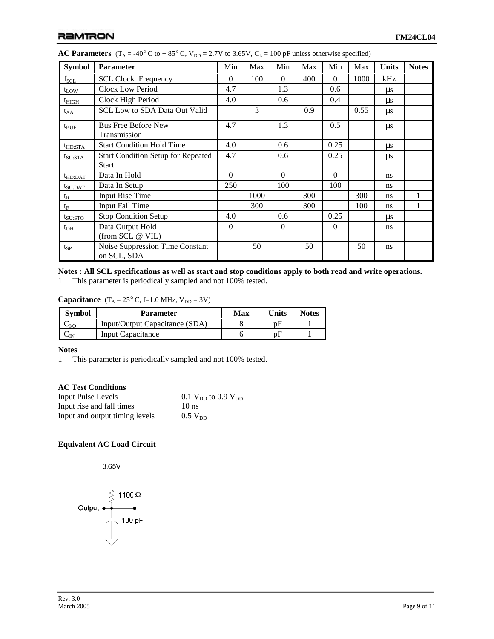| <b>Symbol</b>    | <b>Parameter</b>                                          | Min      | Max  | Min      | Max | Min      | Max  | <b>Units</b> | <b>Notes</b> |
|------------------|-----------------------------------------------------------|----------|------|----------|-----|----------|------|--------------|--------------|
| $f_{\rm SCL}$    | <b>SCL Clock Frequency</b>                                | $\Omega$ | 100  | $\Omega$ | 400 | $\Omega$ | 1000 | kHz          |              |
| $t_{LOW}$        | Clock Low Period                                          | 4.7      |      | 1.3      |     | 0.6      |      | $\mu$ s      |              |
| $t_{\rm HIGH}$   | Clock High Period                                         | 4.0      |      | 0.6      |     | 0.4      |      | $\mu s$      |              |
| $t_{AA}$         | <b>SCL Low to SDA Data Out Valid</b>                      |          | 3    |          | 0.9 |          | 0.55 | $\mu s$      |              |
| $t_{\text{BUF}}$ | <b>Bus Free Before New</b><br>Transmission                | 4.7      |      | 1.3      |     | 0.5      |      | $\mu s$      |              |
| $t_{HD:STA}$     | <b>Start Condition Hold Time</b>                          | 4.0      |      | 0.6      |     | 0.25     |      | $\mu s$      |              |
| $t_{\rm SU:STA}$ | <b>Start Condition Setup for Repeated</b><br><b>Start</b> | 4.7      |      | 0.6      |     | 0.25     |      | $\mu s$      |              |
| $t_{HD:DAT}$     | Data In Hold                                              | $\Omega$ |      | $\Omega$ |     | $\Omega$ |      | ns           |              |
| $t_{\rm SU:DAT}$ | Data In Setup                                             | 250      |      | 100      |     | 100      |      | ns           |              |
| $t_{R}$          | <b>Input Rise Time</b>                                    |          | 1000 |          | 300 |          | 300  | ns           | 1            |
| $t_F$            | <b>Input Fall Time</b>                                    |          | 300  |          | 300 |          | 100  | ns           | 1            |
| $t_{\rm SU:STO}$ | <b>Stop Condition Setup</b>                               | 4.0      |      | 0.6      |     | 0.25     |      | us           |              |
| $t_{DH}$         | Data Output Hold<br>(from SCL @ VIL)                      | $\theta$ |      | $\Omega$ |     | $\Omega$ |      | ns           |              |
| $t_{SP}$         | Noise Suppression Time Constant<br>on SCL, SDA            |          | 50   |          | 50  |          | 50   | ns           |              |

|  |  |  |  | <b>AC Parameters</b> (T <sub>A</sub> = -40° C to + 85° C, V <sub>DD</sub> = 2.7V to 3.65V, C <sub>L</sub> = 100 pF unless otherwise specified) |
|--|--|--|--|------------------------------------------------------------------------------------------------------------------------------------------------|
|--|--|--|--|------------------------------------------------------------------------------------------------------------------------------------------------|

## **Notes : All SCL specifications as well as start and stop conditions apply to both read and write operations.**

1 This parameter is periodically sampled and not 100% tested.

**Capacitance**  $(T_A = 25^\circ C, f=1.0 \text{ MHz}, V_{DD} = 3\text{V})$ 

| <b>Symbol</b> | <b>Parameter</b>               | Max | <b>Units</b> | <b>Notes</b> |
|---------------|--------------------------------|-----|--------------|--------------|
| $-V/C$        | Input/Output Capacitance (SDA) |     | рF           |              |
|               | Input Capacitance              |     | ŋΗ           |              |

## **Notes**

1 This parameter is periodically sampled and not 100% tested.

## **AC Test Conditions**

| <b>Input Pulse Levels</b>      | 0.1 $V_{DD}$ to 0.9 $V_{DD}$ |
|--------------------------------|------------------------------|
| Input rise and fall times      | $10$ ns                      |
| Input and output timing levels | $0.5 V_{DD}$                 |

## **Equivalent AC Load Circuit**

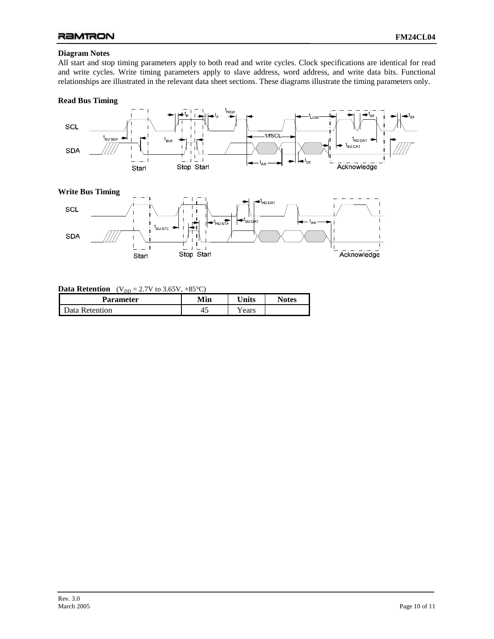## **Diagram Notes**

All start and stop timing parameters apply to both read and write cycles. Clock specifications are identical for read and write cycles. Write timing parameters apply to slave address, word address, and write data bits. Functional relationships are illustrated in the relevant data sheet sections. These diagrams illustrate the timing parameters only.

#### **Read Bus Timing**



#### **Data Retention**  $(V_{DD} = 2.7V \text{ to } 3.65V, +85^{\circ}C)$

Starl

| ້<br>Parameter | Min | <b>Inits</b> | <b>Notes</b> |
|----------------|-----|--------------|--------------|
| Data Retention | ≁~  | r ears       |              |